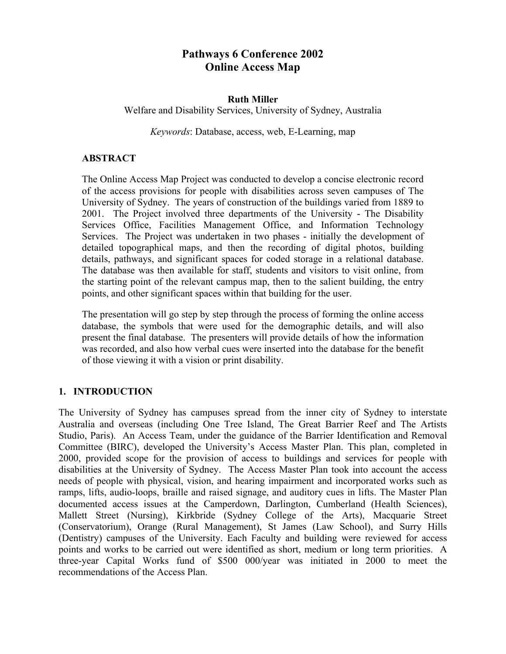# **Pathways 6 Conference 2002 Online Access Map**

#### **Ruth Miller**

Welfare and Disability Services, University of Sydney, Australia

*Keywords*: Database, access, web, E-Learning, map

### **ABSTRACT**

The Online Access Map Project was conducted to develop a concise electronic record of the access provisions for people with disabilities across seven campuses of The University of Sydney. The years of construction of the buildings varied from 1889 to 2001. The Project involved three departments of the University - The Disability Services Office, Facilities Management Office, and Information Technology Services. The Project was undertaken in two phases - initially the development of detailed topographical maps, and then the recording of digital photos, building details, pathways, and significant spaces for coded storage in a relational database. The database was then available for staff, students and visitors to visit online, from the starting point of the relevant campus map, then to the salient building, the entry points, and other significant spaces within that building for the user.

The presentation will go step by step through the process of forming the online access database, the symbols that were used for the demographic details, and will also present the final database. The presenters will provide details of how the information was recorded, and also how verbal cues were inserted into the database for the benefit of those viewing it with a vision or print disability.

## **1. INTRODUCTION**

The University of Sydney has campuses spread from the inner city of Sydney to interstate Australia and overseas (including One Tree Island, The Great Barrier Reef and The Artists Studio, Paris). An Access Team, under the guidance of the Barrier Identification and Removal Committee (BIRC), developed the University's Access Master Plan. This plan, completed in 2000, provided scope for the provision of access to buildings and services for people with disabilities at the University of Sydney. The Access Master Plan took into account the access needs of people with physical, vision, and hearing impairment and incorporated works such as ramps, lifts, audio-loops, braille and raised signage, and auditory cues in lifts. The Master Plan documented access issues at the Camperdown, Darlington, Cumberland (Health Sciences), Mallett Street (Nursing), Kirkbride (Sydney College of the Arts), Macquarie Street (Conservatorium), Orange (Rural Management), St James (Law School), and Surry Hills (Dentistry) campuses of the University. Each Faculty and building were reviewed for access points and works to be carried out were identified as short, medium or long term priorities. A three-year Capital Works fund of \$500 000/year was initiated in 2000 to meet the recommendations of the Access Plan.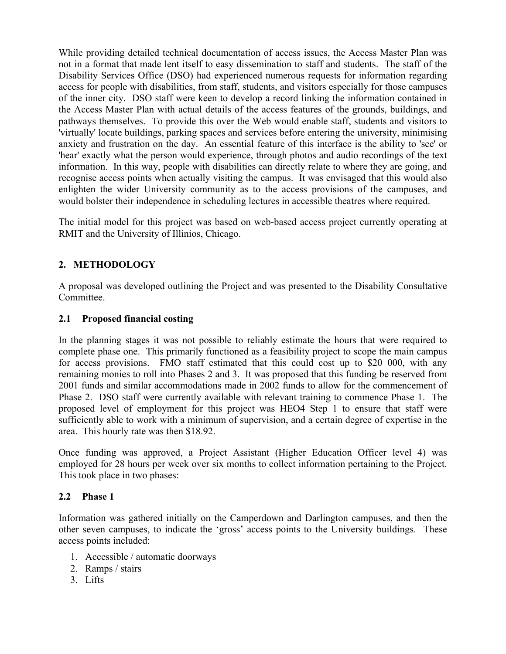While providing detailed technical documentation of access issues, the Access Master Plan was not in a format that made lent itself to easy dissemination to staff and students. The staff of the Disability Services Office (DSO) had experienced numerous requests for information regarding access for people with disabilities, from staff, students, and visitors especially for those campuses of the inner city. DSO staff were keen to develop a record linking the information contained in the Access Master Plan with actual details of the access features of the grounds, buildings, and pathways themselves. To provide this over the Web would enable staff, students and visitors to 'virtually' locate buildings, parking spaces and services before entering the university, minimising anxiety and frustration on the day. An essential feature of this interface is the ability to 'see' or 'hear' exactly what the person would experience, through photos and audio recordings of the text information. In this way, people with disabilities can directly relate to where they are going, and recognise access points when actually visiting the campus. It was envisaged that this would also enlighten the wider University community as to the access provisions of the campuses, and would bolster their independence in scheduling lectures in accessible theatres where required.

The initial model for this project was based on web-based access project currently operating at RMIT and the University of Illinios, Chicago.

## **2. METHODOLOGY**

A proposal was developed outlining the Project and was presented to the Disability Consultative Committee.

### **2.1 Proposed financial costing**

In the planning stages it was not possible to reliably estimate the hours that were required to complete phase one. This primarily functioned as a feasibility project to scope the main campus for access provisions. FMO staff estimated that this could cost up to \$20 000, with any remaining monies to roll into Phases 2 and 3. It was proposed that this funding be reserved from 2001 funds and similar accommodations made in 2002 funds to allow for the commencement of Phase 2. DSO staff were currently available with relevant training to commence Phase 1. The proposed level of employment for this project was HEO4 Step 1 to ensure that staff were sufficiently able to work with a minimum of supervision, and a certain degree of expertise in the area. This hourly rate was then \$18.92.

Once funding was approved, a Project Assistant (Higher Education Officer level 4) was employed for 28 hours per week over six months to collect information pertaining to the Project. This took place in two phases:

#### **2.2 Phase 1**

Information was gathered initially on the Camperdown and Darlington campuses, and then the other seven campuses, to indicate the 'gross' access points to the University buildings. These access points included:

- 1. Accessible / automatic doorways
- 2. Ramps / stairs
- 3. Lifts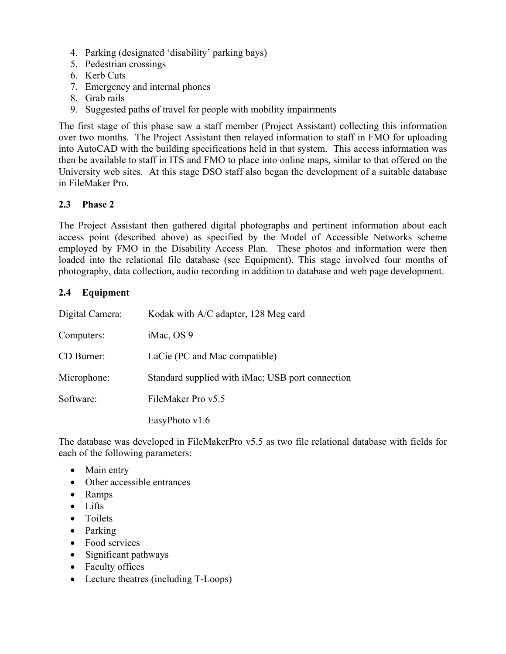- 4. Parking (designated 'disability' parking bays)
- 5. Pedestrian crossings
- 6. Kerb Cuts
- 7. Emergency and internal phones
- 8. Grab rails
- 9. Suggested paths of travel for people with mobility impairments

The first stage of this phase saw a staff member (Project Assistant) collecting this information over two months. The Project Assistant then relayed information to staff in FMO for uploading into AutoCAD with the building specifications held in that system. This access information was then be available to staff in ITS and FMO to place into online maps, similar to that offered on the University web sites. At this stage DSO staff also began the development of a suitable database in FileMaker Pro.

#### **2.3 Phase 2**

The Project Assistant then gathered digital photographs and pertinent information about each access point (described above) as specified by the Model of Accessible Networks scheme employed by FMO in the Disability Access Plan. These photos and information were then loaded into the relational file database (see Equipment). This stage involved four months of photography, data collection, audio recording in addition to database and web page development.

#### **2.4 Equipment**

| Digital Camera: | Kodak with A/C adapter, 128 Meg card             |
|-----------------|--------------------------------------------------|
| Computers:      | iMac, OS 9                                       |
| CD Burner:      | LaCie (PC and Mac compatible)                    |
| Microphone:     | Standard supplied with iMac; USB port connection |
| Software:       | FileMaker Pro v5.5                               |
|                 | EasyPhoto $v1.6$                                 |

The database was developed in FileMakerPro v5.5 as two file relational database with fields for each of the following parameters:

- Main entry
- Other accessible entrances
- Ramps
- Lifts
- Toilets
- Parking
- Food services
- Significant pathways
- Faculty offices
- Lecture theatres (including T-Loops)